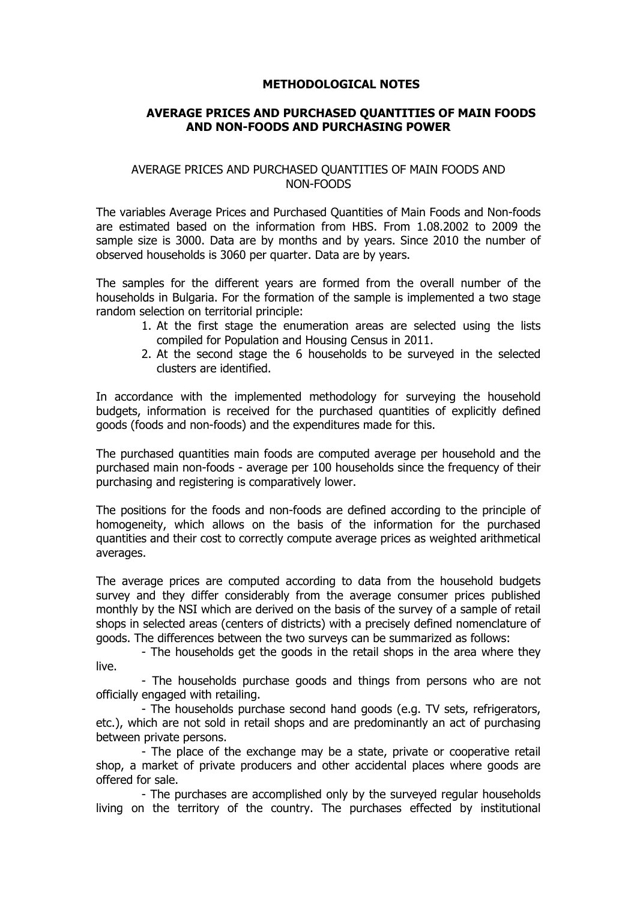## **METHODOLOGICAL NOTES**

## **AVERAGE PRICES AND PURCHASED QUANTITIES OF MAIN FOODS AND NON-FOODS AND PURCHASING POWER**

## AVERAGE PRICES AND PURCHASED QUANTITIES OF MAIN FOODS AND NON-FOODS

The variables Average Prices and Purchased Quantities of Main Foods and Non-foods are estimated based on the information from HBS. From 1.08.2002 to 2009 the sample size is 3000. Data are by months and by years. Since 2010 the number of observed households is 3060 per quarter. Data are by years.

The samples for the different years are formed from the overall number of the households in Bulgaria. For the formation of the sample is implemented a two stage random selection on territorial principle:

- 1. At the first stage the enumeration areas are selected using the lists compiled for Population and Housing Census in 2011.
- 2. At the second stage the 6 households to be surveyed in the selected clusters are identified.

In accordance with the implemented methodology for surveying the household budgets, information is received for the purchased quantities of explicitly defined goods (foods and non-foods) and the expenditures made for this.

The purchased quantities main foods are computed average per household and the purchased main non-foods - average per 100 households since the frequency of their purchasing and registering is comparatively lower.

The positions for the foods and non-foods are defined according to the principle of homogeneity, which allows on the basis of the information for the purchased quantities and their cost to correctly compute average prices as weighted arithmetical averages.

The average prices are computed according to data from the household budgets survey and they differ considerably from the average consumer prices published monthly by the NSI which are derived on the basis of the survey of a sample of retail shops in selected areas (centers of districts) with a precisely defined nomenclature of goods. The differences between the two surveys can be summarized as follows:

- The households get the goods in the retail shops in the area where they live.

- The households purchase goods and things from persons who are not officially engaged with retailing.

- The households purchase second hand goods (e.g. TV sets, refrigerators, etc.), which are not sold in retail shops and are predominantly an act of purchasing between private persons.

- The place of the exchange may be a state, private or cooperative retail shop, a market of private producers and other accidental places where goods are offered for sale.

- The purchases are accomplished only by the surveyed regular households living on the territory of the country. The purchases effected by institutional